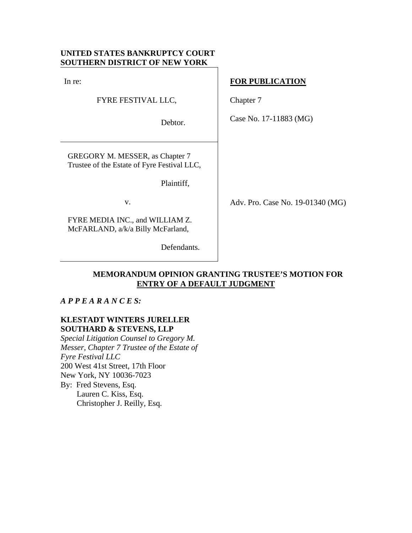## **UNITED STATES BANKRUPTCY COURT SOUTHERN DISTRICT OF NEW YORK**

In re:

FYRE FESTIVAL LLC,

Debtor.

GREGORY M. MESSER, as Chapter 7 Trustee of the Estate of Fyre Festival LLC,

Plaintiff,

v.

FYRE MEDIA INC., and WILLIAM Z. McFARLAND, a/k/a Billy McFarland,

Defendants.

### **FOR PUBLICATION**

Chapter 7

Case No. 17-11883 (MG)

Adv. Pro. Case No. 19-01340 (MG)

# **MEMORANDUM OPINION GRANTING TRUSTEE'S MOTION FOR ENTRY OF A DEFAULT JUDGMENT**

## *A P P E A R A N C E S:*

## **KLESTADT WINTERS JURELLER SOUTHARD & STEVENS, LLP**

*Special Litigation Counsel to Gregory M. Messer, Chapter 7 Trustee of the Estate of Fyre Festival LLC* 200 West 41st Street, 17th Floor New York, NY 10036-7023 By: Fred Stevens, Esq. Lauren C. Kiss, Esq. Christopher J. Reilly, Esq.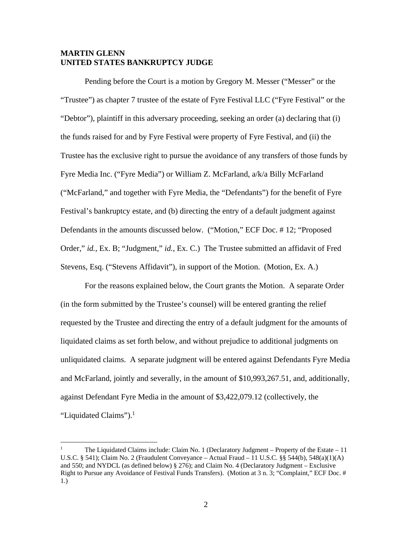### **MARTIN GLENN UNITED STATES BANKRUPTCY JUDGE**

Pending before the Court is a motion by Gregory M. Messer ("Messer" or the "Trustee") as chapter 7 trustee of the estate of Fyre Festival LLC ("Fyre Festival" or the "Debtor"), plaintiff in this adversary proceeding, seeking an order (a) declaring that (i) the funds raised for and by Fyre Festival were property of Fyre Festival, and (ii) the Trustee has the exclusive right to pursue the avoidance of any transfers of those funds by Fyre Media Inc. ("Fyre Media") or William Z. McFarland, a/k/a Billy McFarland ("McFarland," and together with Fyre Media, the "Defendants") for the benefit of Fyre Festival's bankruptcy estate, and (b) directing the entry of a default judgment against Defendants in the amounts discussed below. ("Motion," ECF Doc. # 12; "Proposed Order," *id.*, Ex. B; "Judgment," *id.*, Ex. C.) The Trustee submitted an affidavit of Fred Stevens, Esq. ("Stevens Affidavit"), in support of the Motion. (Motion, Ex. A.)

For the reasons explained below, the Court grants the Motion. A separate Order (in the form submitted by the Trustee's counsel) will be entered granting the relief requested by the Trustee and directing the entry of a default judgment for the amounts of liquidated claims as set forth below, and without prejudice to additional judgments on unliquidated claims. A separate judgment will be entered against Defendants Fyre Media and McFarland, jointly and severally, in the amount of \$10,993,267.51, and, additionally, against Defendant Fyre Media in the amount of \$3,422,079.12 (collectively, the "Liquidated Claims").<sup>1</sup>

<sup>1</sup> The Liquidated Claims include: Claim No. 1 (Declaratory Judgment – Property of the Estate – 11 U.S.C. § 541); Claim No. 2 (Fraudulent Conveyance – Actual Fraud – 11 U.S.C. §§ 544(b), 548(a)(1)(A) and 550; and NYDCL (as defined below) § 276); and Claim No. 4 (Declaratory Judgment – Exclusive Right to Pursue any Avoidance of Festival Funds Transfers). (Motion at 3 n. 3; "Complaint," ECF Doc. # 1.)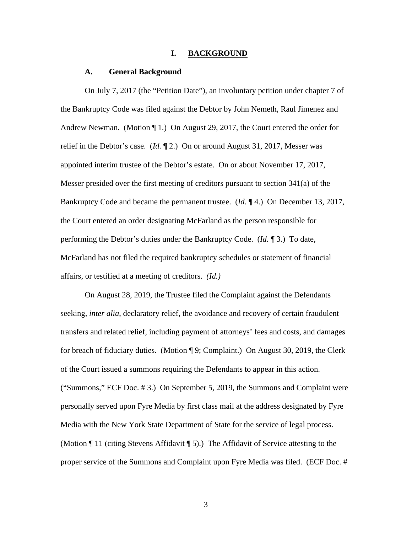#### **I. BACKGROUND**

#### **A. General Background**

On July 7, 2017 (the "Petition Date"), an involuntary petition under chapter 7 of the Bankruptcy Code was filed against the Debtor by John Nemeth, Raul Jimenez and Andrew Newman. (Motion ¶ 1.) On August 29, 2017, the Court entered the order for relief in the Debtor's case. (*Id.* ¶ 2.) On or around August 31, 2017, Messer was appointed interim trustee of the Debtor's estate. On or about November 17, 2017, Messer presided over the first meeting of creditors pursuant to section 341(a) of the Bankruptcy Code and became the permanent trustee. (*Id.* ¶ 4.) On December 13, 2017, the Court entered an order designating McFarland as the person responsible for performing the Debtor's duties under the Bankruptcy Code. (*Id.* ¶ 3.) To date, McFarland has not filed the required bankruptcy schedules or statement of financial affairs, or testified at a meeting of creditors. *(Id.)*

 On August 28, 2019, the Trustee filed the Complaint against the Defendants seeking, *inter alia*, declaratory relief, the avoidance and recovery of certain fraudulent transfers and related relief, including payment of attorneys' fees and costs, and damages for breach of fiduciary duties. (Motion ¶ 9; Complaint.) On August 30, 2019, the Clerk of the Court issued a summons requiring the Defendants to appear in this action. ("Summons," ECF Doc. # 3.) On September 5, 2019, the Summons and Complaint were personally served upon Fyre Media by first class mail at the address designated by Fyre Media with the New York State Department of State for the service of legal process. (Motion ¶ 11 (citing Stevens Affidavit ¶ 5).) The Affidavit of Service attesting to the proper service of the Summons and Complaint upon Fyre Media was filed. (ECF Doc. #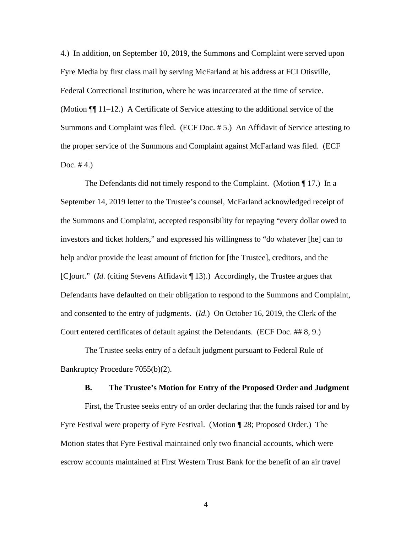4.) In addition, on September 10, 2019, the Summons and Complaint were served upon Fyre Media by first class mail by serving McFarland at his address at FCI Otisville, Federal Correctional Institution, where he was incarcerated at the time of service. (Motion ¶¶ 11–12.) A Certificate of Service attesting to the additional service of the Summons and Complaint was filed. (ECF Doc. # 5.) An Affidavit of Service attesting to the proper service of the Summons and Complaint against McFarland was filed. (ECF Doc.  $#4.$ )

The Defendants did not timely respond to the Complaint. (Motion ¶ 17.) In a September 14, 2019 letter to the Trustee's counsel, McFarland acknowledged receipt of the Summons and Complaint, accepted responsibility for repaying "every dollar owed to investors and ticket holders," and expressed his willingness to "do whatever [he] can to help and/or provide the least amount of friction for [the Trustee], creditors, and the [C]ourt." (*Id.* (citing Stevens Affidavit ¶ 13).)Accordingly, the Trustee argues that Defendants have defaulted on their obligation to respond to the Summons and Complaint, and consented to the entry of judgments. (*Id.*) On October 16, 2019, the Clerk of the Court entered certificates of default against the Defendants. (ECF Doc. ## 8, 9.)

The Trustee seeks entry of a default judgment pursuant to Federal Rule of Bankruptcy Procedure 7055(b)(2).

#### **B. The Trustee's Motion for Entry of the Proposed Order and Judgment**

First, the Trustee seeks entry of an order declaring that the funds raised for and by Fyre Festival were property of Fyre Festival. (Motion ¶ 28; Proposed Order.) The Motion states that Fyre Festival maintained only two financial accounts, which were escrow accounts maintained at First Western Trust Bank for the benefit of an air travel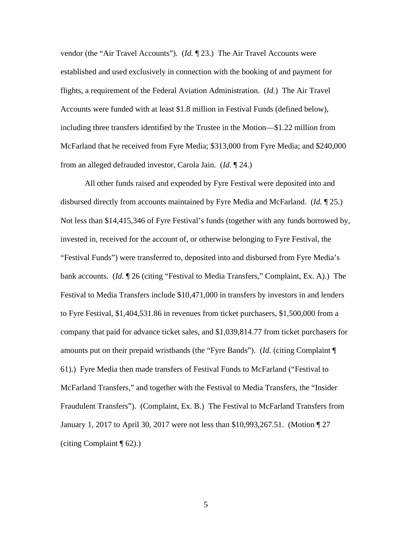vendor (the "Air Travel Accounts"). (*Id.* ¶ 23.) The Air Travel Accounts were established and used exclusively in connection with the booking of and payment for flights, a requirement of the Federal Aviation Administration. (*Id.*) The Air Travel Accounts were funded with at least \$1.8 million in Festival Funds (defined below), including three transfers identified by the Trustee in the Motion—\$1.22 million from McFarland that he received from Fyre Media; \$313,000 from Fyre Media; and \$240,000 from an alleged defrauded investor, Carola Jain. (*Id.* ¶ 24.)

All other funds raised and expended by Fyre Festival were deposited into and disbursed directly from accounts maintained by Fyre Media and McFarland. (*Id.* ¶ 25.) Not less than \$14,415,346 of Fyre Festival's funds (together with any funds borrowed by, invested in, received for the account of, or otherwise belonging to Fyre Festival, the "Festival Funds") were transferred to, deposited into and disbursed from Fyre Media's bank accounts. (*Id.* ¶ 26 (citing "Festival to Media Transfers," Complaint, Ex. A).) The Festival to Media Transfers include \$10,471,000 in transfers by investors in and lenders to Fyre Festival, \$1,404,531.86 in revenues from ticket purchasers, \$1,500,000 from a company that paid for advance ticket sales, and \$1,039,814.77 from ticket purchasers for amounts put on their prepaid wristbands (the "Fyre Bands"). (*Id.* (citing Complaint ¶ 61).) Fyre Media then made transfers of Festival Funds to McFarland ("Festival to McFarland Transfers," and together with the Festival to Media Transfers, the "Insider Fraudulent Transfers"). (Complaint, Ex. B.) The Festival to McFarland Transfers from January 1, 2017 to April 30, 2017 were not less than \$10,993,267.51. (Motion ¶ 27 (citing Complaint ¶ 62).)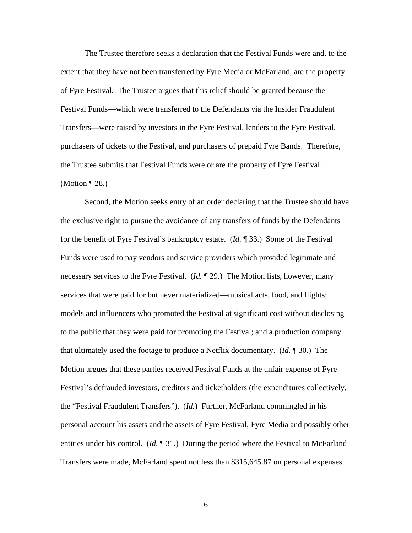The Trustee therefore seeks a declaration that the Festival Funds were and, to the extent that they have not been transferred by Fyre Media or McFarland, are the property of Fyre Festival. The Trustee argues that this relief should be granted because the Festival Funds—which were transferred to the Defendants via the Insider Fraudulent Transfers—were raised by investors in the Fyre Festival, lenders to the Fyre Festival, purchasers of tickets to the Festival, and purchasers of prepaid Fyre Bands. Therefore, the Trustee submits that Festival Funds were or are the property of Fyre Festival. (Motion ¶ 28.)

Second, the Motion seeks entry of an order declaring that the Trustee should have the exclusive right to pursue the avoidance of any transfers of funds by the Defendants for the benefit of Fyre Festival's bankruptcy estate. (*Id.* ¶ 33.) Some of the Festival Funds were used to pay vendors and service providers which provided legitimate and necessary services to the Fyre Festival. (*Id.* ¶ 29.) The Motion lists, however, many services that were paid for but never materialized—musical acts, food, and flights; models and influencers who promoted the Festival at significant cost without disclosing to the public that they were paid for promoting the Festival; and a production company that ultimately used the footage to produce a Netflix documentary. (*Id.* ¶ 30.) The Motion argues that these parties received Festival Funds at the unfair expense of Fyre Festival's defrauded investors, creditors and ticketholders (the expenditures collectively, the "Festival Fraudulent Transfers"). (*Id.*) Further, McFarland commingled in his personal account his assets and the assets of Fyre Festival, Fyre Media and possibly other entities under his control. (*Id.* 131.) During the period where the Festival to McFarland Transfers were made, McFarland spent not less than \$315,645.87 on personal expenses.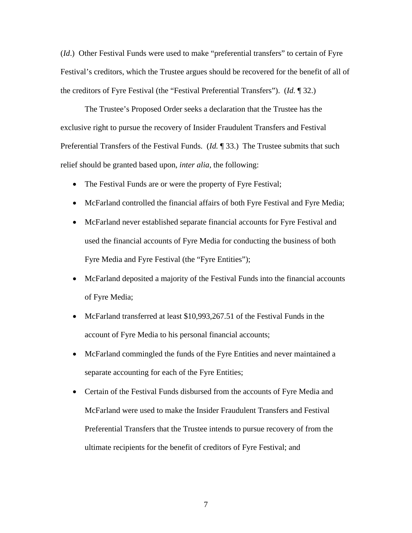(*Id*.) Other Festival Funds were used to make "preferential transfers" to certain of Fyre Festival's creditors, which the Trustee argues should be recovered for the benefit of all of the creditors of Fyre Festival (the "Festival Preferential Transfers"). (*Id.* ¶ 32.)

The Trustee's Proposed Order seeks a declaration that the Trustee has the exclusive right to pursue the recovery of Insider Fraudulent Transfers and Festival Preferential Transfers of the Festival Funds. (*Id.* ¶ 33.) The Trustee submits that such relief should be granted based upon, *inter alia*, the following:

- The Festival Funds are or were the property of Fyre Festival;
- McFarland controlled the financial affairs of both Fyre Festival and Fyre Media;
- McFarland never established separate financial accounts for Fyre Festival and used the financial accounts of Fyre Media for conducting the business of both Fyre Media and Fyre Festival (the "Fyre Entities");
- McFarland deposited a majority of the Festival Funds into the financial accounts of Fyre Media;
- McFarland transferred at least \$10,993,267.51 of the Festival Funds in the account of Fyre Media to his personal financial accounts;
- McFarland commingled the funds of the Fyre Entities and never maintained a separate accounting for each of the Fyre Entities;
- Certain of the Festival Funds disbursed from the accounts of Fyre Media and McFarland were used to make the Insider Fraudulent Transfers and Festival Preferential Transfers that the Trustee intends to pursue recovery of from the ultimate recipients for the benefit of creditors of Fyre Festival; and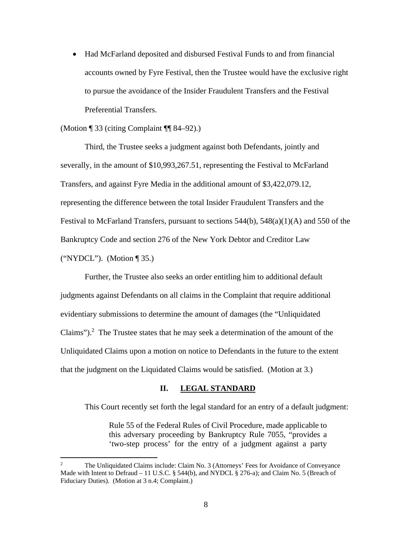Had McFarland deposited and disbursed Festival Funds to and from financial accounts owned by Fyre Festival, then the Trustee would have the exclusive right to pursue the avoidance of the Insider Fraudulent Transfers and the Festival Preferential Transfers.

#### (Motion ¶ 33 (citing Complaint ¶¶ 84–92).)

 Third, the Trustee seeks a judgment against both Defendants, jointly and severally, in the amount of \$10,993,267.51, representing the Festival to McFarland Transfers, and against Fyre Media in the additional amount of \$3,422,079.12, representing the difference between the total Insider Fraudulent Transfers and the Festival to McFarland Transfers, pursuant to sections 544(b), 548(a)(1)(A) and 550 of the Bankruptcy Code and section 276 of the New York Debtor and Creditor Law ("NYDCL"). (Motion ¶ 35.)

Further, the Trustee also seeks an order entitling him to additional default judgments against Defendants on all claims in the Complaint that require additional evidentiary submissions to determine the amount of damages (the "Unliquidated Claims"). $^2$  The Trustee states that he may seek a determination of the amount of the Unliquidated Claims upon a motion on notice to Defendants in the future to the extent that the judgment on the Liquidated Claims would be satisfied. (Motion at 3.)

### **II. LEGAL STANDARD**

This Court recently set forth the legal standard for an entry of a default judgment:

Rule 55 of the Federal Rules of Civil Procedure, made applicable to this adversary proceeding by Bankruptcy Rule 7055, "provides a 'two-step process' for the entry of a judgment against a party

<sup>2</sup> The Unliquidated Claims include: Claim No. 3 (Attorneys' Fees for Avoidance of Conveyance Made with Intent to Defraud – 11 U.S.C. § 544(b), and NYDCL § 276-a); and Claim No. 5 (Breach of Fiduciary Duties). (Motion at 3 n.4; Complaint.)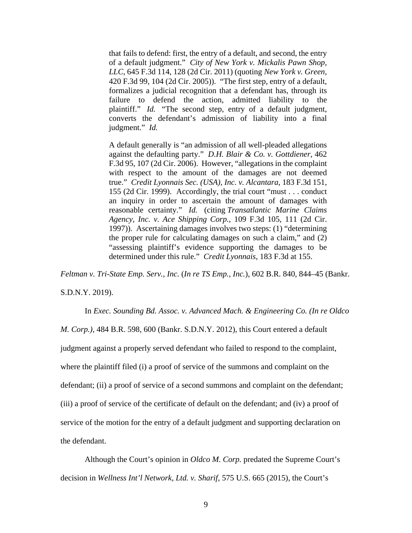that fails to defend: first, the entry of a default, and second, the entry of a default judgment." *City of New York v. Mickalis Pawn Shop, LLC*, 645 F.3d 114, 128 (2d Cir. 2011) (quoting *New York v. Green*, 420 F.3d 99, 104 (2d Cir. 2005)). "The first step, entry of a default, formalizes a judicial recognition that a defendant has, through its failure to defend the action, admitted liability to the plaintiff." *Id.* "The second step, entry of a default judgment, converts the defendant's admission of liability into a final judgment." *Id.* 

A default generally is "an admission of all well-pleaded allegations against the defaulting party." *D.H. Blair & Co. v. Gottdiener*, 462 F.3d 95, 107 (2d Cir. 2006). However, "allegations in the complaint with respect to the amount of the damages are not deemed true." *Credit Lyonnais Sec. (USA), Inc. v. Alcantara*, 183 F.3d 151, 155 (2d Cir. 1999). Accordingly, the trial court "must . . . conduct an inquiry in order to ascertain the amount of damages with reasonable certainty." *Id.* (citing *Transatlantic Marine Claims Agency, Inc. v. Ace Shipping Corp.*, 109 F.3d 105, 111 (2d Cir. 1997)). Ascertaining damages involves two steps: (1) "determining the proper rule for calculating damages on such a claim," and (2) "assessing plaintiff's evidence supporting the damages to be determined under this rule." *Credit Lyonnais*, 183 F.3d at 155.

*Feltman v. Tri-State Emp. Serv., Inc.* (*In re TS Emp., Inc.*), 602 B.R. 840, 844–45 (Bankr.

S.D.N.Y. 2019).

In *Exec. Sounding Bd. Assoc. v. Advanced Mach. & Engineering Co. (In re Oldco M. Corp.)*, 484 B.R. 598, 600 (Bankr. S.D.N.Y. 2012), this Court entered a default judgment against a properly served defendant who failed to respond to the complaint, where the plaintiff filed (i) a proof of service of the summons and complaint on the defendant; (ii) a proof of service of a second summons and complaint on the defendant; (iii) a proof of service of the certificate of default on the defendant; and (iv) a proof of service of the motion for the entry of a default judgment and supporting declaration on the defendant.

Although the Court's opinion in *Oldco M. Corp.* predated the Supreme Court's decision in *Wellness Int'l Network, Ltd. v. Sharif*, 575 U.S. 665 (2015), the Court's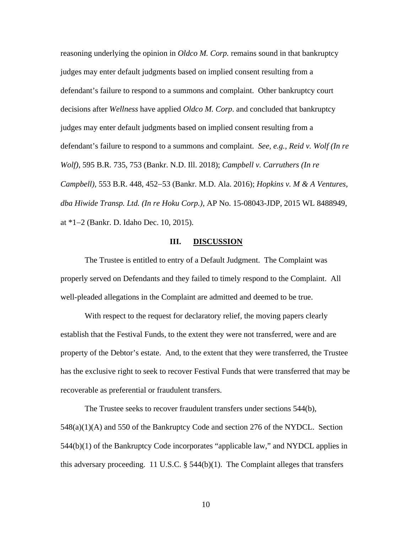reasoning underlying the opinion in *Oldco M. Corp.* remains sound in that bankruptcy judges may enter default judgments based on implied consent resulting from a defendant's failure to respond to a summons and complaint. Other bankruptcy court decisions after *Wellness* have applied *Oldco M. Corp*. and concluded that bankruptcy judges may enter default judgments based on implied consent resulting from a defendant's failure to respond to a summons and complaint. *See, e.g.*, *Reid v. Wolf (In re Wolf)*, 595 B.R. 735, 753 (Bankr. N.D. Ill. 2018); *Campbell v. Carruthers (In re Campbell*), 553 B.R. 448, 452–53 (Bankr. M.D. Ala. 2016); *Hopkins v. M & A Ventures*, *dba Hiwide Transp. Ltd. (In re Hoku Corp.)*, AP No. 15-08043-JDP, 2015 WL 8488949, at \*12 (Bankr. D. Idaho Dec. 10, 2015).

#### **III. DISCUSSION**

The Trustee is entitled to entry of a Default Judgment. The Complaint was properly served on Defendants and they failed to timely respond to the Complaint. All well-pleaded allegations in the Complaint are admitted and deemed to be true.

With respect to the request for declaratory relief, the moving papers clearly establish that the Festival Funds, to the extent they were not transferred, were and are property of the Debtor's estate. And, to the extent that they were transferred, the Trustee has the exclusive right to seek to recover Festival Funds that were transferred that may be recoverable as preferential or fraudulent transfers.

The Trustee seeks to recover fraudulent transfers under sections 544(b), 548(a)(1)(A) and 550 of the Bankruptcy Code and section 276 of the NYDCL. Section 544(b)(1) of the Bankruptcy Code incorporates "applicable law," and NYDCL applies in this adversary proceeding. 11 U.S.C.  $\S$  544(b)(1). The Complaint alleges that transfers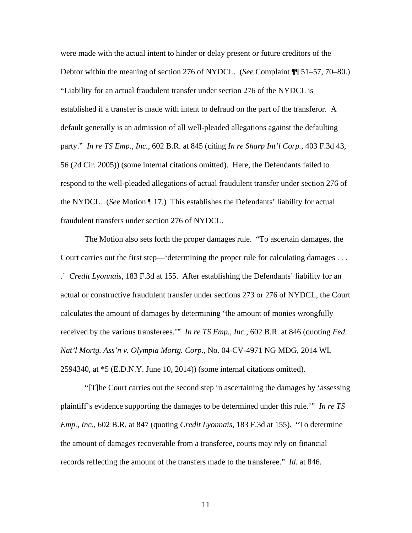were made with the actual intent to hinder or delay present or future creditors of the Debtor within the meaning of section 276 of NYDCL. (*See* Complaint ¶¶ 51–57, 70–80.) "Liability for an actual fraudulent transfer under section 276 of the NYDCL is established if a transfer is made with intent to defraud on the part of the transferor. A default generally is an admission of all well-pleaded allegations against the defaulting party." *In re TS Emp., Inc.*, 602 B.R. at 845 (citing *In re Sharp Int'l Corp.*, 403 F.3d 43, 56 (2d Cir. 2005)) (some internal citations omitted). Here, the Defendants failed to respond to the well-pleaded allegations of actual fraudulent transfer under section 276 of the NYDCL. (*See* Motion ¶ 17.) This establishes the Defendants' liability for actual fraudulent transfers under section 276 of NYDCL.

The Motion also sets forth the proper damages rule. "To ascertain damages, the Court carries out the first step—'determining the proper rule for calculating damages . . . .' *Credit Lyonnais*, 183 F.3d at 155. After establishing the Defendants' liability for an actual or constructive fraudulent transfer under sections 273 or 276 of NYDCL, the Court calculates the amount of damages by determining 'the amount of monies wrongfully received by the various transferees.'" *In re TS Emp., Inc.*, 602 B.R. at 846 (quoting *Fed. Nat'l Mortg. Ass'n v. Olympia Mortg. Corp.*, No. 04-CV-4971 NG MDG, 2014 WL 2594340, at \*5 (E.D.N.Y. June 10, 2014)) (some internal citations omitted).

"[T]he Court carries out the second step in ascertaining the damages by 'assessing plaintiff's evidence supporting the damages to be determined under this rule.'" *In re TS Emp., Inc.*, 602 B.R. at 847 (quoting *Credit Lyonnais*, 183 F.3d at 155). "To determine the amount of damages recoverable from a transferee, courts may rely on financial records reflecting the amount of the transfers made to the transferee." *Id.* at 846.